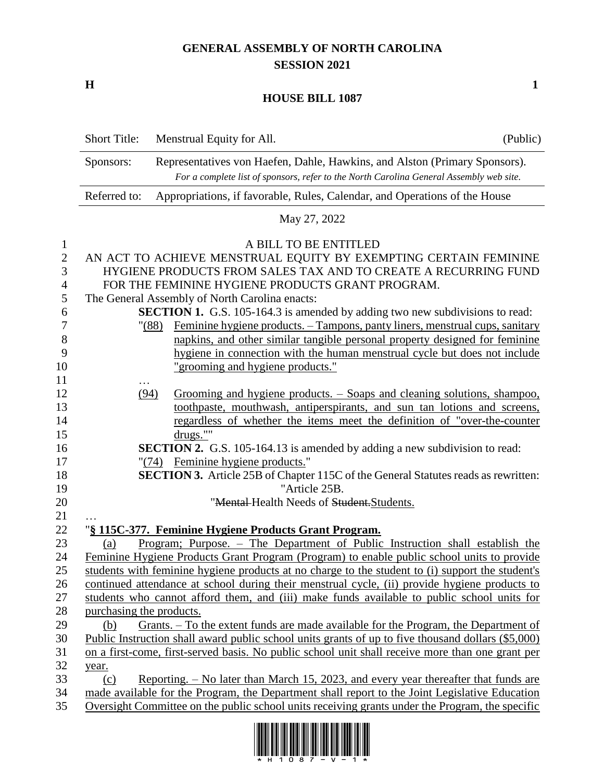## **GENERAL ASSEMBLY OF NORTH CAROLINA SESSION 2021**

**H 1**

## **HOUSE BILL 1087**

|                | <b>Short Title:</b>                                                                        | Menstrual Equity for All.                                                                             | (Public) |  |
|----------------|--------------------------------------------------------------------------------------------|-------------------------------------------------------------------------------------------------------|----------|--|
|                | Sponsors:                                                                                  | Representatives von Haefen, Dahle, Hawkins, and Alston (Primary Sponsors).                            |          |  |
|                | For a complete list of sponsors, refer to the North Carolina General Assembly web site.    |                                                                                                       |          |  |
|                | Referred to:<br>Appropriations, if favorable, Rules, Calendar, and Operations of the House |                                                                                                       |          |  |
|                | May 27, 2022                                                                               |                                                                                                       |          |  |
| $\mathbf{1}$   |                                                                                            | A BILL TO BE ENTITLED                                                                                 |          |  |
| $\sqrt{2}$     |                                                                                            | AN ACT TO ACHIEVE MENSTRUAL EQUITY BY EXEMPTING CERTAIN FEMININE                                      |          |  |
| 3              | HYGIENE PRODUCTS FROM SALES TAX AND TO CREATE A RECURRING FUND                             |                                                                                                       |          |  |
| $\overline{4}$ | FOR THE FEMININE HYGIENE PRODUCTS GRANT PROGRAM.                                           |                                                                                                       |          |  |
| $\mathfrak s$  | The General Assembly of North Carolina enacts:                                             |                                                                                                       |          |  |
| 6              |                                                                                            | <b>SECTION 1.</b> G.S. 105-164.3 is amended by adding two new subdivisions to read:                   |          |  |
| 7              |                                                                                            | <u>Feminine hygiene products. – Tampons, panty liners, menstrual cups, sanitary</u><br>$"({\bf 88})"$ |          |  |
| $8\,$          |                                                                                            | napkins, and other similar tangible personal property designed for feminine                           |          |  |
| 9              |                                                                                            | hygiene in connection with the human menstrual cycle but does not include                             |          |  |
| 10             |                                                                                            | "grooming and hygiene products."                                                                      |          |  |
| 11             |                                                                                            |                                                                                                       |          |  |
| 12             | (94)                                                                                       | Grooming and hygiene products. – Soaps and cleaning solutions, shampoo,                               |          |  |
| 13             |                                                                                            | toothpaste, mouthwash, antiperspirants, and sun tan lotions and screens,                              |          |  |
| 14             |                                                                                            | regardless of whether the items meet the definition of "over-the-counter                              |          |  |
| 15             |                                                                                            | drugs.""                                                                                              |          |  |
| 16             |                                                                                            | SECTION 2. G.S. 105-164.13 is amended by adding a new subdivision to read:                            |          |  |
| 17             |                                                                                            | <b>Feminine hygiene products.</b> "<br>"(74)                                                          |          |  |
| 18             |                                                                                            | <b>SECTION 3.</b> Article 25B of Chapter 115C of the General Statutes reads as rewritten:             |          |  |
| 19             |                                                                                            | "Article 25B.                                                                                         |          |  |
| 20             |                                                                                            | "Mental-Health Needs of Student. Students.                                                            |          |  |
| 21             |                                                                                            |                                                                                                       |          |  |
| 22             |                                                                                            | "§ 115C-377. Feminine Hygiene Products Grant Program.                                                 |          |  |
| 23             | (a)                                                                                        | Program; Purpose. - The Department of Public Instruction shall establish the                          |          |  |
| 24             |                                                                                            | Feminine Hygiene Products Grant Program (Program) to enable public school units to provide            |          |  |
| 25             |                                                                                            | students with feminine hygiene products at no charge to the student to (i) support the student's      |          |  |
| 26             |                                                                                            | continued attendance at school during their menstrual cycle, (ii) provide hygiene products to         |          |  |
| 27             |                                                                                            | students who cannot afford them, and (iii) make funds available to public school units for            |          |  |
| 28             | purchasing the products.                                                                   |                                                                                                       |          |  |
| 29             | (b)                                                                                        | Grants. – To the extent funds are made available for the Program, the Department of                   |          |  |
| 30             |                                                                                            | Public Instruction shall award public school units grants of up to five thousand dollars (\$5,000)    |          |  |
| 31             |                                                                                            | on a first-come, first-served basis. No public school unit shall receive more than one grant per      |          |  |
| 32             | year.                                                                                      |                                                                                                       |          |  |
| 33             | (c)                                                                                        | <u>Reporting. – No later than March 15, 2023, and every year thereafter that funds are</u>            |          |  |
| 34             |                                                                                            | made available for the Program, the Department shall report to the Joint Legislative Education        |          |  |
| 35             |                                                                                            | Oversight Committee on the public school units receiving grants under the Program, the specific       |          |  |